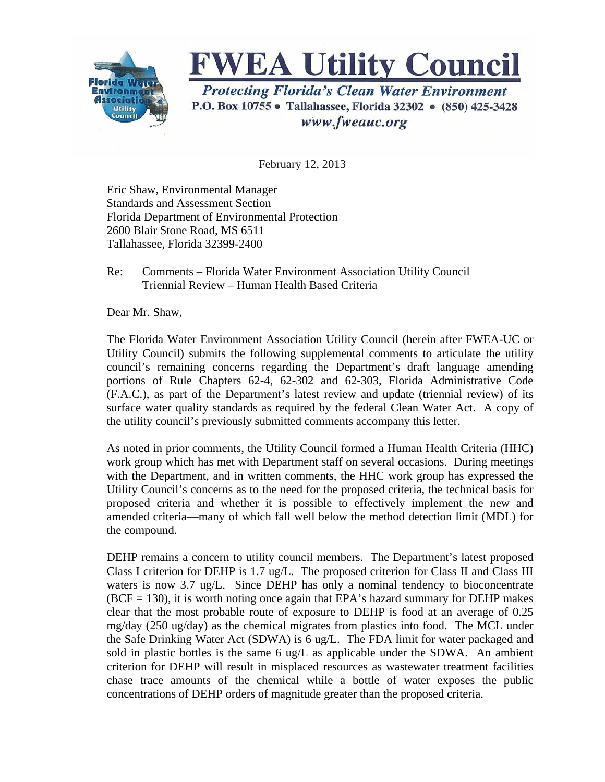

## **FWEA Utility Council**

**Protecting Florida's Clean Water Environment** P.O. Box 10755 • Tallahassee, Florida 32302 • (850) 425-3428 www.fweauc.org

February 12, 2013

Eric Shaw, Environmental Manager Standards and Assessment Section Florida Department of Environmental Protection 2600 Blair Stone Road, MS 6511 Tallahassee, Florida 32399-2400

## Re: Comments – Florida Water Environment Association Utility Council Triennial Review – Human Health Based Criteria

Dear Mr. Shaw,

The Florida Water Environment Association Utility Council (herein after FWEA-UC or Utility Council) submits the following supplemental comments to articulate the utility council's remaining concerns regarding the Department's draft language amending portions of Rule Chapters 62-4, 62-302 and 62-303, Florida Administrative Code (F.A.C.), as part of the Department's latest review and update (triennial review) of its surface water quality standards as required by the federal Clean Water Act. A copy of the utility council's previously submitted comments accompany this letter.

As noted in prior comments, the Utility Council formed a Human Health Criteria (HHC) work group which has met with Department staff on several occasions. During meetings with the Department, and in written comments, the HHC work group has expressed the Utility Council's concerns as to the need for the proposed criteria, the technical basis for proposed criteria and whether it is possible to effectively implement the new and amended criteria—many of which fall well below the method detection limit (MDL) for the compound.

DEHP remains a concern to utility council members. The Department's latest proposed Class I criterion for DEHP is 1.7 ug/L. The proposed criterion for Class II and Class III waters is now 3.7 ug/L. Since DEHP has only a nominal tendency to bioconcentrate  $(BCF = 130)$ , it is worth noting once again that EPA's hazard summary for DEHP makes clear that the most probable route of exposure to DEHP is food at an average of 0.25 mg/day (250 ug/day) as the chemical migrates from plastics into food. The MCL under the Safe Drinking Water Act (SDWA) is 6 ug/L. The FDA limit for water packaged and sold in plastic bottles is the same 6 ug/L as applicable under the SDWA. An ambient criterion for DEHP will result in misplaced resources as wastewater treatment facilities chase trace amounts of the chemical while a bottle of water exposes the public concentrations of DEHP orders of magnitude greater than the proposed criteria.